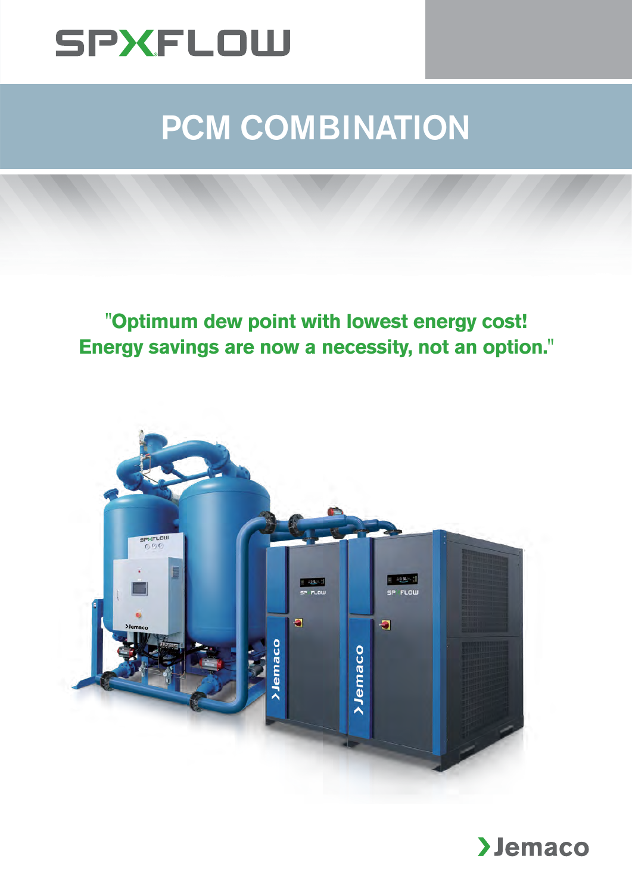

## PCM COMBINATION

**"Optimum dew point with lowest energy cost! Energy savings are now a necessity, not an option."**



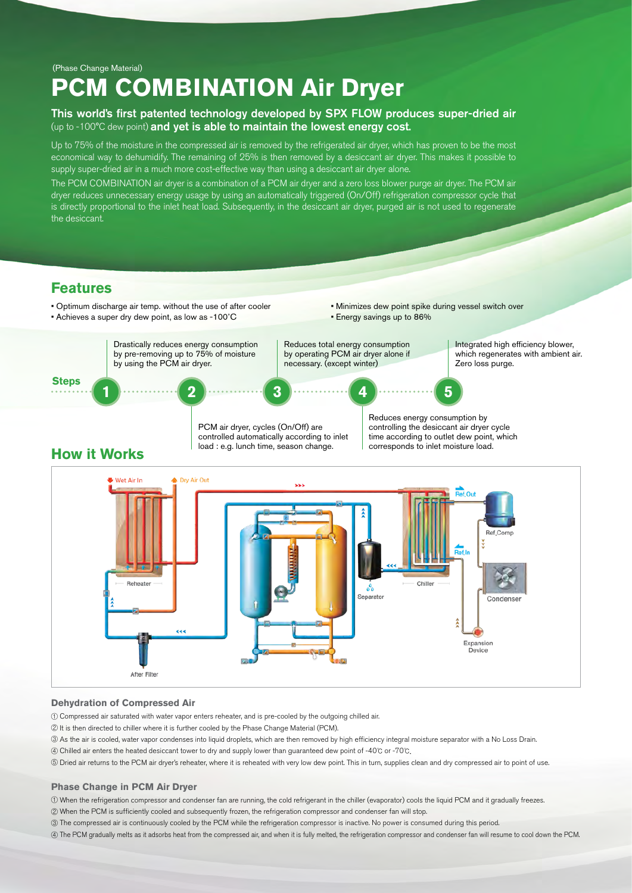(Phase Change Material)

## **PCM COMBINATION Air Dryer**

#### This world's first patented technology developed by SPX FLOW produces super-dried air (up to -100°C dew point) and yet is able to maintain the lowest energy cost.

Up to 75% of the moisture in the compressed air is removed by the refrigerated air dryer, which has proven to be the most economical way to dehumidify. The remaining of 25% is then removed by a desiccant air dryer. This makes it possible to supply super-dried air in a much more cost-effective way than using a desiccant air dryer alone.

The PCM COMBINATION air dryer is a combination of a PCM air dryer and a zero loss blower purge air dryer. The PCM air dryer reduces unnecessary energy usage by using an automatically triggered (On/Off) refrigeration compressor cycle that is directly proportional to the inlet heat load. Subsequently, in the desiccant air dryer, purged air is not used to regenerate the desiccant.

### **Features**

#### • Optimum discharge air temp. without the use of after cooler

- Achieves a super dry dew point, as low as -100˚C
- Minimizes dew point spike during vessel switch over • Energy savings up to 86%





#### **Dehydration of Compressed Air**

① Compressed air saturated with water vapor enters reheater, and is pre-cooled by the outgoing chilled air.

- ② It is then directed to chiller where it is further cooled by the Phase Change Material (PCM).
- ③ As the air is cooled, water vapor condenses into liquid droplets, which are then removed by high efficiency integral moisture separator with a No Loss Drain.
- ④ Chilled air enters the heated desiccant tower to dry and supply lower than guaranteed dew point of -40℃ or -70℃.
- ⑤ Dried air returns to the PCM air dryer's reheater, where it is reheated with very low dew point. This in turn, supplies clean and dry compressed air to point of use.

#### **Phase Change in PCM Air Dryer**

① When the refrigeration compressor and condenser fan are running, the cold refrigerant in the chiller (evaporator) cools the liquid PCM and it gradually freezes.

- ② When the PCM is sufficiently cooled and subsequently frozen, the refrigeration compressor and condenser fan will stop.
- ③ The compressed air is continuously cooled by the PCM while the refrigeration compressor is inactive. No power is consumed during this period.
- ④ The PCM gradually melts as it adsorbs heat from the compressed air, and when it is fully melted, the refrigeration compressor and condenser fan will resume to cool down the PCM.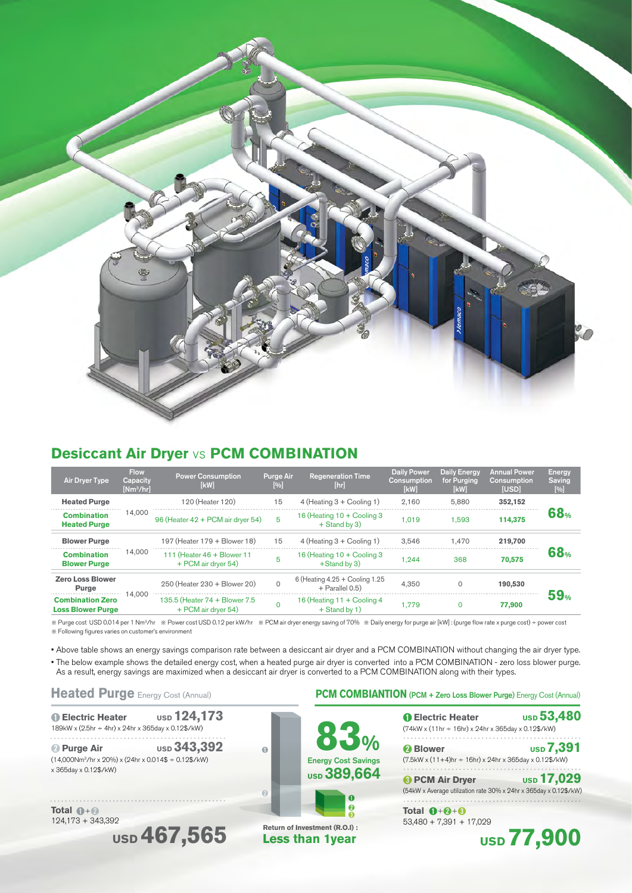

### **Desiccant Air Dryer** vs **PCM COMBINATION**

| <b>Air Dryer Type</b>                               | <b>Flow</b><br>Capacity<br>$[Nm^3/hr]$ | <b>Power Consumption</b><br>[kW]                      | <b>Purge Air</b><br>[%] | <b>Regeneration Time</b><br>[hr]                    | <b>Daily Power</b><br>Consumption<br>[kW] | <b>Daily Energy</b><br>for Purging<br>[kW] | <b>Annual Power</b><br>Consumption<br>[USD] | <b>Energy</b><br><b>Saving</b><br>[%] |
|-----------------------------------------------------|----------------------------------------|-------------------------------------------------------|-------------------------|-----------------------------------------------------|-------------------------------------------|--------------------------------------------|---------------------------------------------|---------------------------------------|
| <b>Heated Purge</b>                                 | 14,000                                 | 120 (Heater 120)                                      | 15                      | $4$ (Heating $3 +$ Cooling 1)                       | 2.160                                     | 5.880                                      | 352.152                                     | 68 <sub>%</sub>                       |
| <b>Combination</b><br><b>Heated Purge</b>           |                                        | 96 (Heater 42 + PCM air dryer 54)                     | 5                       | 16 (Heating $10 +$ Cooling 3<br>+ Stand by 3)       | 1.019                                     | 1.593                                      | 114.375                                     |                                       |
| <b>Blower Purge</b>                                 | 14,000                                 | 197 (Heater 179 + Blower 18)                          | 15                      | 4 (Heating 3 + Cooling 1)                           | 3.546                                     | 1.470                                      | 219,700                                     | <b>68</b> %                           |
| <b>Combination</b><br><b>Blower Purge</b>           |                                        | 111 (Heater 46 + Blower 11<br>+ PCM air dryer 54)     | 5                       | 16 (Heating 10 + Cooling 3<br>+Stand by 3)          | .244                                      | 368                                        | 70,575                                      |                                       |
| <b>Zero Loss Blower</b><br>Purge                    | 14,000                                 | 250 (Heater 230 + Blower 20)                          | $\Omega$                | 6 (Heating $4.25 +$ Cooling 1.25<br>+ Parallel 0.5) | 4.350                                     | $\Omega$                                   | 190,530                                     | <b>59</b> %                           |
| <b>Combination Zero</b><br><b>Loss Blower Purge</b> |                                        | 135.5 (Heater 74 + Blower 7.5)<br>+ PCM air dryer 54) |                         | 16 (Heating 11 + Cooling 4<br>+ Stand by 1)         | 1.779                                     | $\Omega$                                   | 77,900                                      |                                       |

※ Purge cost USD 0.014 per 1 Nm3/hr ※ Power cost USD 0.12 per kW/hr ※ PCM air dryer energy saving of 70% ※ Daily energy for purge air [kW] : (purge flow rate x purge cost) ÷ power cost ※ Following figures varies on customer's environment

• Above table shows an energy savings comparison rate between a desiccant air dryer and a PCM COMBINATION without changing the air dryer type.

• The below example shows the detailed energy cost, when a heated purge air dryer is converted into a PCM COMBINATION - zero loss blower purge. As a result, energy savings are maximized when a desiccant air dryer is converted to a PCM COMBINATION along with their types.

➊ **Electric Heater USD 124,173** 189kW x (2.5hr ÷ 4hr) x 24hr x 365day x 0.12\$/kW)

**2 Purge Air** USD 343,392  $(14,000\text{Nm}^3/\text{hr} \times 20\%) \times (24\text{hr} \times 0.014\$ + 0.12\$/\text{kW})$ x 365day x 0.12\$/kW)

**Total**  $\mathbf{\Omega} + \mathbf{\Omega}$ 124,173 + 343,392





**Less than 1year**

#### Heated Purge Energy Cost (Annual) **PCM COMBIANTION (PCM + Zero Loss Blower Purge) Energy Cost (Annual)**

| <b>O</b> Electric Heater<br>(74kW x (11hr ÷ 16hr) x 24hr x 365day x 0.12\$/kW)              | <b>usp 53,480</b> |
|---------------------------------------------------------------------------------------------|-------------------|
| <b>2</b> Blower<br>(7.5kW x (11+4)hr ÷ 16hr) x 24hr x 365day x 0.12\$/kW)                   | <b>USD 7,391</b>  |
| <b>B</b> PCM Air Dryer<br>(54kW x Average utilization rate 30% x 24hr x 365day x 0.12\$/kW) | <b>usp 17,029</b> |
| Total $\mathbf{0} + \mathbf{0} + \mathbf{0}$<br>$53,480 + 7,391 + 17,029$                   |                   |

 **USD 77,900**